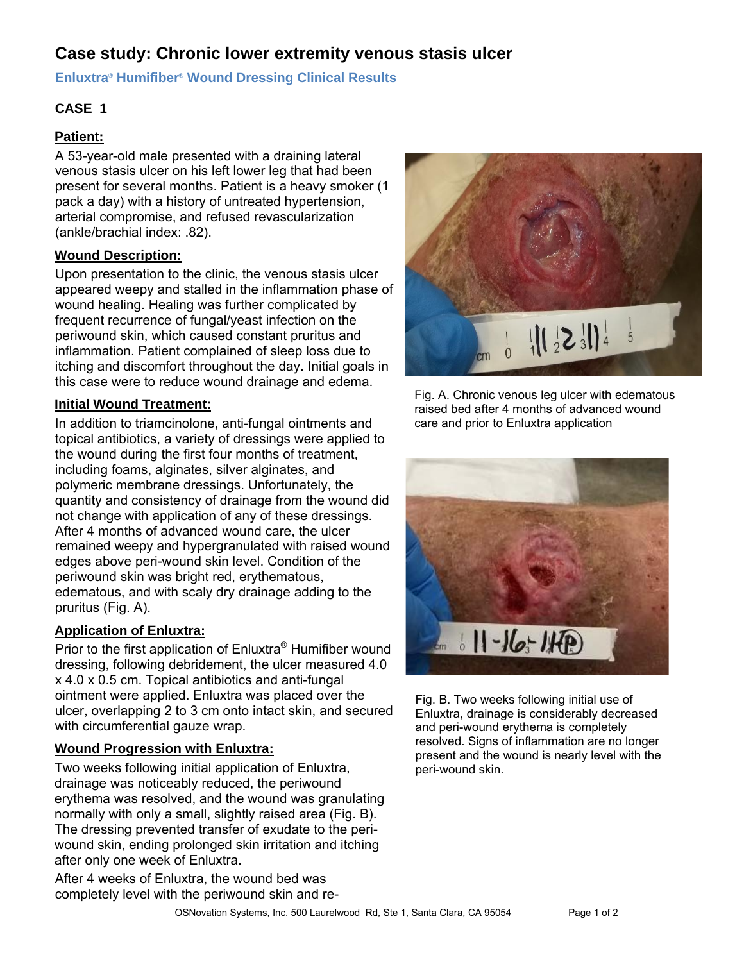# **Case study: Chronic lower extremity venous stasis ulcer**

**Enluxtra® Humifiber® Wound Dressing Clinical Results** 

### **CASE 1**

#### **Patient:**

A 53-year-old male presented with a draining lateral venous stasis ulcer on his left lower leg that had been present for several months. Patient is a heavy smoker (1 pack a day) with a history of untreated hypertension, arterial compromise, and refused revascularization (ankle/brachial index: .82).

### **Wound Description:**

Upon presentation to the clinic, the venous stasis ulcer appeared weepy and stalled in the inflammation phase of wound healing. Healing was further complicated by frequent recurrence of fungal/yeast infection on the periwound skin, which caused constant pruritus and inflammation. Patient complained of sleep loss due to itching and discomfort throughout the day. Initial goals in this case were to reduce wound drainage and edema.

### **Initial Wound Treatment:**

In addition to triamcinolone, anti-fungal ointments and topical antibiotics, a variety of dressings were applied to the wound during the first four months of treatment, including foams, alginates, silver alginates, and polymeric membrane dressings. Unfortunately, the quantity and consistency of drainage from the wound did not change with application of any of these dressings. After 4 months of advanced wound care, the ulcer remained weepy and hypergranulated with raised wound edges above peri-wound skin level. Condition of the periwound skin was bright red, erythematous, edematous, and with scaly dry drainage adding to the pruritus (Fig. A).

# **Application of Enluxtra:**

Prior to the first application of Enluxtra® Humifiber wound dressing, following debridement, the ulcer measured 4.0 x 4.0 x 0.5 cm. Topical antibiotics and anti-fungal ointment were applied. Enluxtra was placed over the ulcer, overlapping 2 to 3 cm onto intact skin, and secured with circumferential gauze wrap.

## **Wound Progression with Enluxtra:**

Two weeks following initial application of Enluxtra, drainage was noticeably reduced, the periwound erythema was resolved, and the wound was granulating normally with only a small, slightly raised area (Fig. B). The dressing prevented transfer of exudate to the periwound skin, ending prolonged skin irritation and itching after only one week of Enluxtra.

After 4 weeks of Enluxtra, the wound bed was completely level with the periwound skin and re-



Fig. A. Chronic venous leg ulcer with edematous raised bed after 4 months of advanced wound care and prior to Enluxtra application



Fig. B. Two weeks following initial use of Enluxtra, drainage is considerably decreased and peri-wound erythema is completely resolved. Signs of inflammation are no longer present and the wound is nearly level with the peri-wound skin.